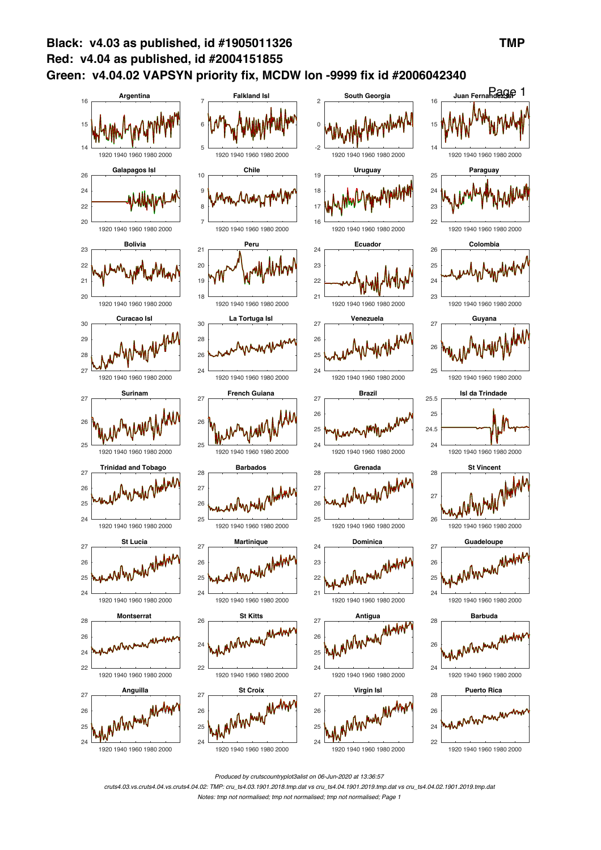

*Produced by crutscountryplot3alist on 06-Jun-2020 at 13:36:57*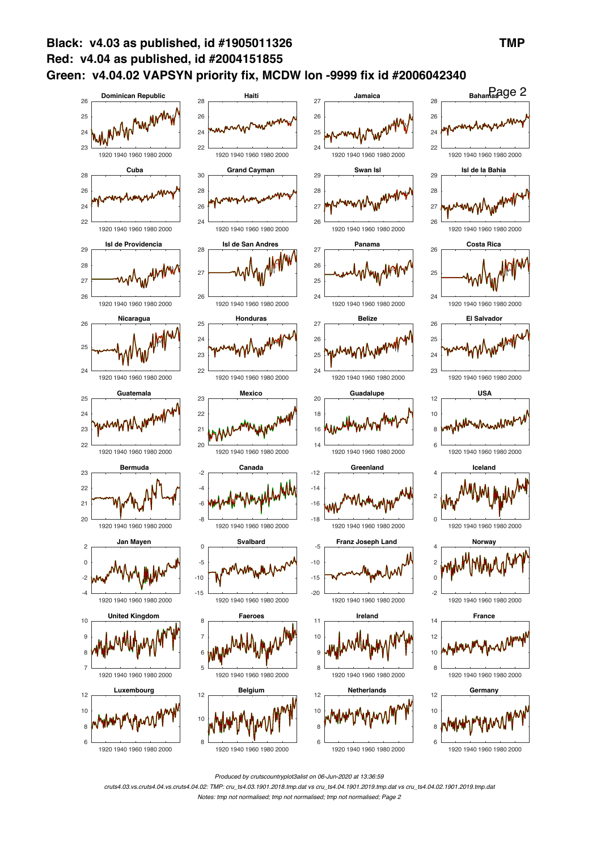

*Produced by crutscountryplot3alist on 06-Jun-2020 at 13:36:59*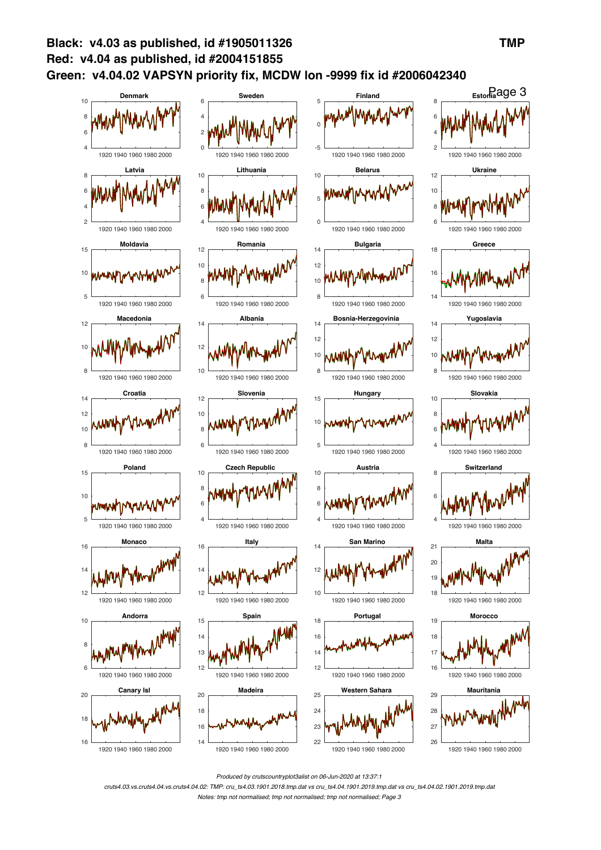

*Produced by crutscountryplot3alist on 06-Jun-2020 at 13:37:1*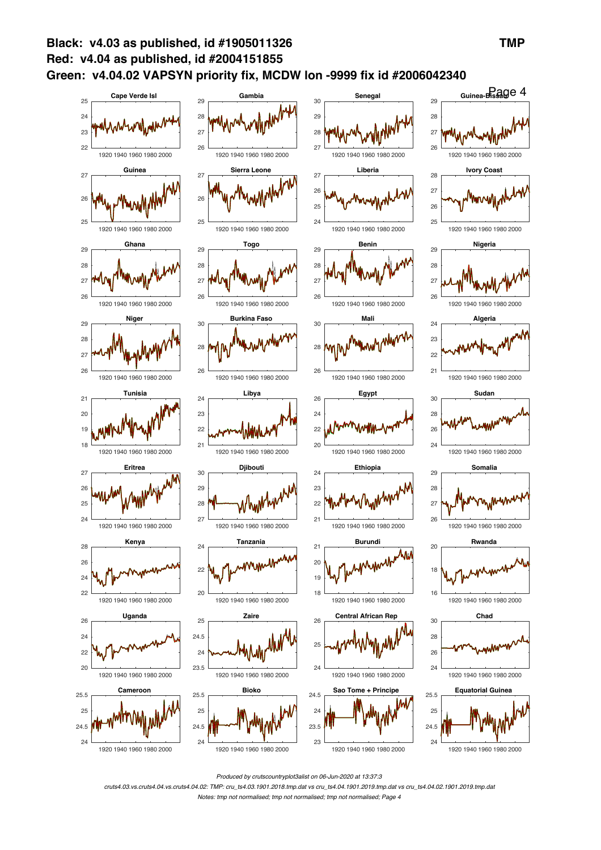

*Produced by crutscountryplot3alist on 06-Jun-2020 at 13:37:3*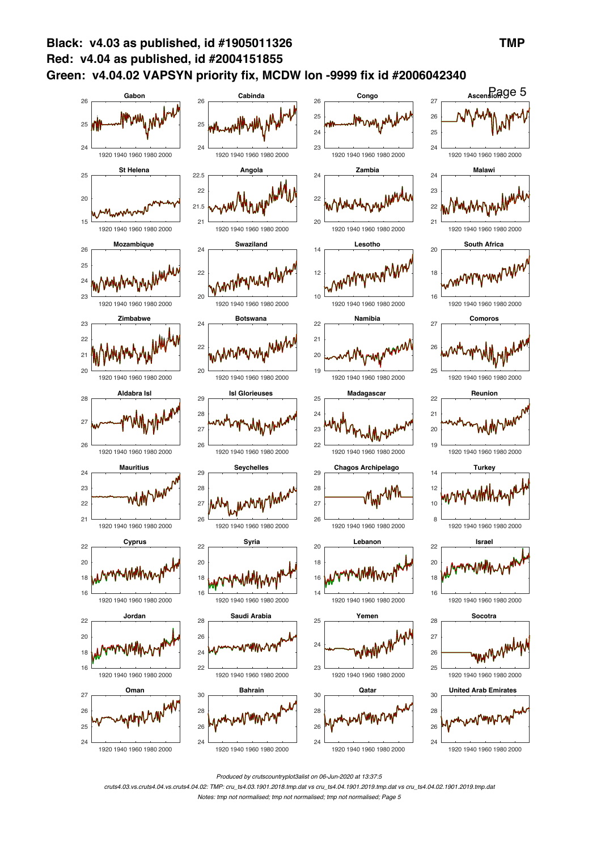

*Produced by crutscountryplot3alist on 06-Jun-2020 at 13:37:5*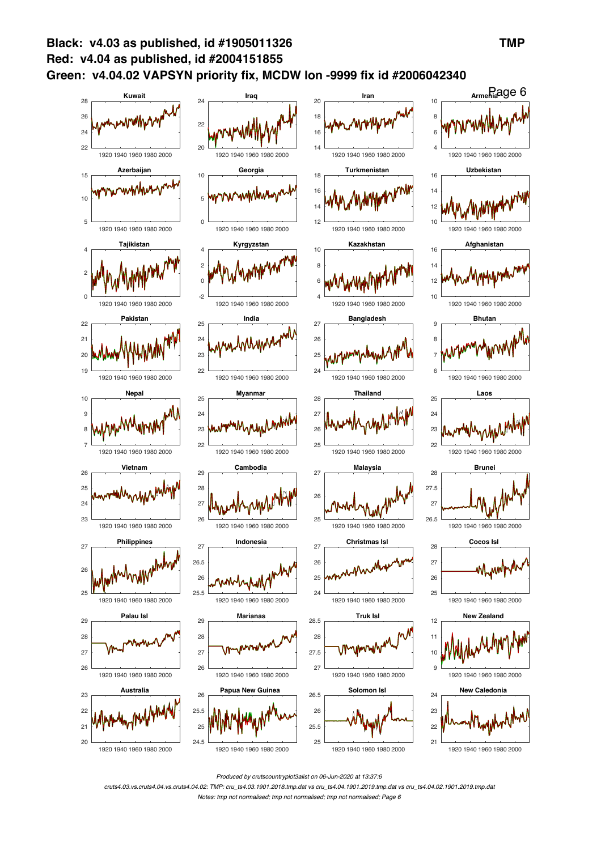

*Produced by crutscountryplot3alist on 06-Jun-2020 at 13:37:6*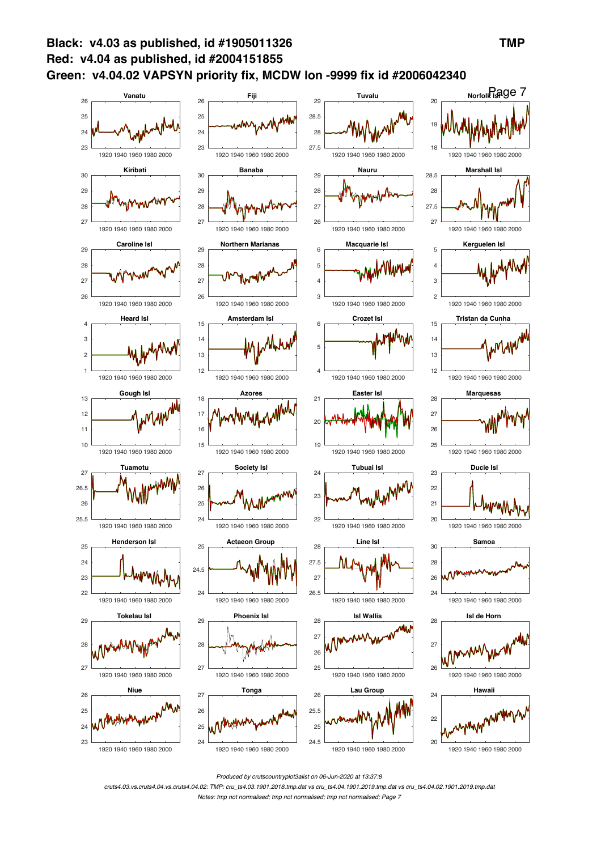

*Produced by crutscountryplot3alist on 06-Jun-2020 at 13:37:8*